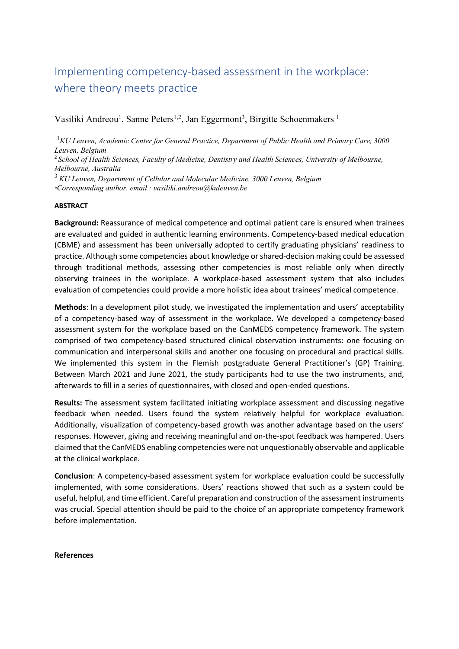## Implementing competency-based assessment in the workplace: where theory meets practice

Vasiliki Andreou<sup>1</sup>, Sanne Peters<sup>1,2</sup>, Jan Eggermont<sup>3</sup>, Birgitte Schoenmakers<sup>1</sup>

<sup>1</sup>KU Leuven, Academic Center for General Practice, Department of Public Health and Primary Care, 3000 *Leuven, Belgium* 

<sup>2</sup> *School of Health Sciences, Faculty of Medicine, Dentistry and Health Sciences, University of Melbourne, Melbourne, Australia*

<sup>3</sup> *KU Leuven, Department of Cellular and Molecular Medicine, 3000 Leuven, Belgium* 

*\*Corresponding author. email : vasiliki.andreou@kuleuven.be* 

## **ABSTRACT**

**Background:** Reassurance of medical competence and optimal patient care is ensured when trainees are evaluated and guided in authentic learning environments. Competency-based medical education (CBME) and assessment has been universally adopted to certify graduating physicians' readiness to practice. Although some competencies about knowledge or shared-decision making could be assessed through traditional methods, assessing other competencies is most reliable only when directly observing trainees in the workplace. A workplace-based assessment system that also includes evaluation of competencies could provide a more holistic idea about trainees' medical competence.

**Methods**: In a development pilot study, we investigated the implementation and users' acceptability of a competency-based way of assessment in the workplace. We developed a competency-based assessment system for the workplace based on the CanMEDS competency framework. The system comprised of two competency-based structured clinical observation instruments: one focusing on communication and interpersonal skills and another one focusing on procedural and practical skills. We implemented this system in the Flemish postgraduate General Practitioner's (GP) Training. Between March 2021 and June 2021, the study participants had to use the two instruments, and, afterwards to fill in a series of questionnaires, with closed and open-ended questions.

**Results:** The assessment system facilitated initiating workplace assessment and discussing negative feedback when needed. Users found the system relatively helpful for workplace evaluation. Additionally, visualization of competency-based growth was another advantage based on the users' responses. However, giving and receiving meaningful and on-the-spot feedback was hampered. Users claimed that the CanMEDS enabling competencies were not unquestionably observable and applicable at the clinical workplace.

**Conclusion**: A competency-based assessment system for workplace evaluation could be successfully implemented, with some considerations. Users' reactions showed that such as a system could be useful, helpful, and time efficient. Careful preparation and construction of the assessment instruments was crucial. Special attention should be paid to the choice of an appropriate competency framework before implementation.

## **References**